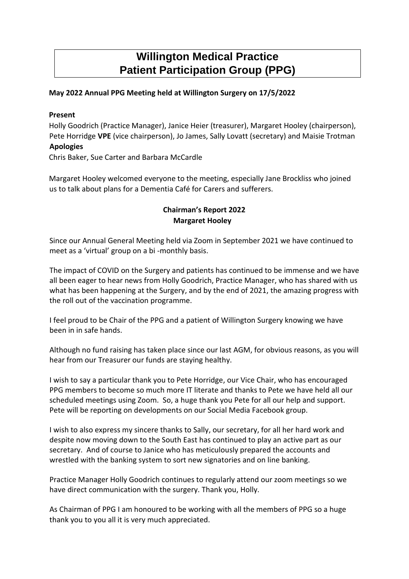# **Willington Medical Practice Patient Participation Group (PPG)**

## **May 2022 Annual PPG Meeting held at Willington Surgery on 17/5/2022**

#### **Present**

Holly Goodrich (Practice Manager), Janice Heier (treasurer), Margaret Hooley (chairperson), Pete Horridge **VPE** (vice chairperson), Jo James, Sally Lovatt (secretary) and Maisie Trotman **Apologies** 

Chris Baker, Sue Carter and Barbara McCardle

Margaret Hooley welcomed everyone to the meeting, especially Jane Brockliss who joined us to talk about plans for a Dementia Café for Carers and sufferers.

## **Chairman's Report 2022 Margaret Hooley**

Since our Annual General Meeting held via Zoom in September 2021 we have continued to meet as a 'virtual' group on a bi -monthly basis.

The impact of COVID on the Surgery and patients has continued to be immense and we have all been eager to hear news from Holly Goodrich, Practice Manager, who has shared with us what has been happening at the Surgery, and by the end of 2021, the amazing progress with the roll out of the vaccination programme.

I feel proud to be Chair of the PPG and a patient of Willington Surgery knowing we have been in in safe hands.

Although no fund raising has taken place since our last AGM, for obvious reasons, as you will hear from our Treasurer our funds are staying healthy.

I wish to say a particular thank you to Pete Horridge, our Vice Chair, who has encouraged PPG members to become so much more IT literate and thanks to Pete we have held all our scheduled meetings using Zoom. So, a huge thank you Pete for all our help and support. Pete will be reporting on developments on our Social Media Facebook group.

I wish to also express my sincere thanks to Sally, our secretary, for all her hard work and despite now moving down to the South East has continued to play an active part as our secretary. And of course to Janice who has meticulously prepared the accounts and wrestled with the banking system to sort new signatories and on line banking.

Practice Manager Holly Goodrich continues to regularly attend our zoom meetings so we have direct communication with the surgery. Thank you, Holly.

As Chairman of PPG I am honoured to be working with all the members of PPG so a huge thank you to you all it is very much appreciated.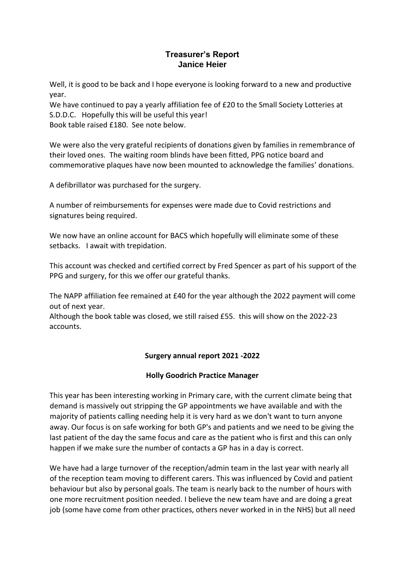## **Treasurer's Report Janice Heier**

Well, it is good to be back and I hope everyone is looking forward to a new and productive year.

We have continued to pay a yearly affiliation fee of £20 to the Small Society Lotteries at S.D.D.C. Hopefully this will be useful this year! Book table raised £180. See note below.

We were also the very grateful recipients of donations given by families in remembrance of their loved ones. The waiting room blinds have been fitted, PPG notice board and commemorative plaques have now been mounted to acknowledge the families' donations.

A defibrillator was purchased for the surgery.

A number of reimbursements for expenses were made due to Covid restrictions and signatures being required.

We now have an online account for BACS which hopefully will eliminate some of these setbacks. I await with trepidation.

This account was checked and certified correct by Fred Spencer as part of his support of the PPG and surgery, for this we offer our grateful thanks.

The NAPP affiliation fee remained at £40 for the year although the 2022 payment will come out of next year.

Although the book table was closed, we still raised £55. this will show on the 2022-23 accounts.

# **Surgery annual report 2021 -2022**

## **Holly Goodrich Practice Manager**

This year has been interesting working in Primary care, with the current climate being that demand is massively out stripping the GP appointments we have available and with the majority of patients calling needing help it is very hard as we don't want to turn anyone away. Our focus is on safe working for both GP's and patients and we need to be giving the last patient of the day the same focus and care as the patient who is first and this can only happen if we make sure the number of contacts a GP has in a day is correct.

We have had a large turnover of the reception/admin team in the last year with nearly all of the reception team moving to different carers. This was influenced by Covid and patient behaviour but also by personal goals. The team is nearly back to the number of hours with one more recruitment position needed. I believe the new team have and are doing a great job (some have come from other practices, others never worked in in the NHS) but all need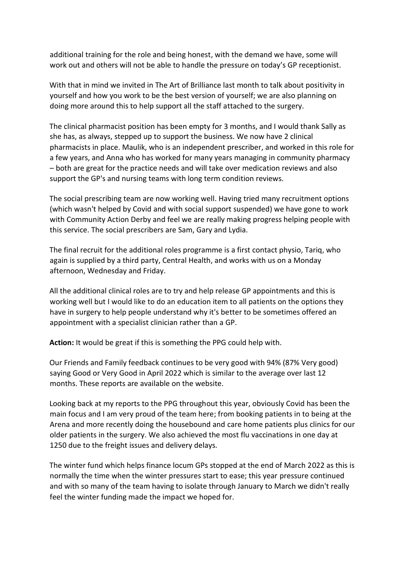additional training for the role and being honest, with the demand we have, some will work out and others will not be able to handle the pressure on today's GP receptionist.

With that in mind we invited in The Art of Brilliance last month to talk about positivity in yourself and how you work to be the best version of yourself; we are also planning on doing more around this to help support all the staff attached to the surgery.

The clinical pharmacist position has been empty for 3 months, and I would thank Sally as she has, as always, stepped up to support the business. We now have 2 clinical pharmacists in place. Maulik, who is an independent prescriber, and worked in this role for a few years, and Anna who has worked for many years managing in community pharmacy – both are great for the practice needs and will take over medication reviews and also support the GP's and nursing teams with long term condition reviews.

The social prescribing team are now working well. Having tried many recruitment options (which wasn't helped by Covid and with social support suspended) we have gone to work with Community Action Derby and feel we are really making progress helping people with this service. The social prescribers are Sam, Gary and Lydia.

The final recruit for the additional roles programme is a first contact physio, Tariq, who again is supplied by a third party, Central Health, and works with us on a Monday afternoon, Wednesday and Friday.

All the additional clinical roles are to try and help release GP appointments and this is working well but I would like to do an education item to all patients on the options they have in surgery to help people understand why it's better to be sometimes offered an appointment with a specialist clinician rather than a GP.

**Action:** It would be great if this is something the PPG could help with.

Our Friends and Family feedback continues to be very good with 94% (87% Very good) saying Good or Very Good in April 2022 which is similar to the average over last 12 months. These reports are available on the website.

Looking back at my reports to the PPG throughout this year, obviously Covid has been the main focus and I am very proud of the team here; from booking patients in to being at the Arena and more recently doing the housebound and care home patients plus clinics for our older patients in the surgery. We also achieved the most flu vaccinations in one day at 1250 due to the freight issues and delivery delays.

The winter fund which helps finance locum GPs stopped at the end of March 2022 as this is normally the time when the winter pressures start to ease; this year pressure continued and with so many of the team having to isolate through January to March we didn't really feel the winter funding made the impact we hoped for.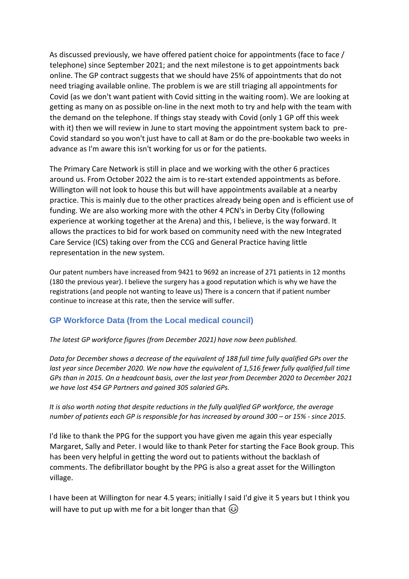As discussed previously, we have offered patient choice for appointments (face to face / telephone) since September 2021; and the next milestone is to get appointments back online. The GP contract suggests that we should have 25% of appointments that do not need triaging available online. The problem is we are still triaging all appointments for Covid (as we don't want patient with Covid sitting in the waiting room). We are looking at getting as many on as possible on-line in the next moth to try and help with the team with the demand on the telephone. If things stay steady with Covid (only 1 GP off this week with it) then we will review in June to start moving the appointment system back to pre-Covid standard so you won't just have to call at 8am or do the pre-bookable two weeks in advance as I'm aware this isn't working for us or for the patients.

The Primary Care Network is still in place and we working with the other 6 practices around us. From October 2022 the aim is to re-start extended appointments as before. Willington will not look to house this but will have appointments available at a nearby practice. This is mainly due to the other practices already being open and is efficient use of funding. We are also working more with the other 4 PCN's in Derby City (following experience at working together at the Arena) and this, I believe, is the way forward. It allows the practices to bid for work based on community need with the new Integrated Care Service (ICS) taking over from the CCG and General Practice having little representation in the new system.

Our patent numbers have increased from 9421 to 9692 an increase of 271 patients in 12 months (180 the previous year). I believe the surgery has a good reputation which is why we have the registrations (and people not wanting to leave us) There is a concern that if patient number continue to increase at this rate, then the service will suffer.

# **GP Workforce Data (from the Local medical council)**

*The latest GP workforce figures (from December 2021) have now been published.* 

*Data for December shows a decrease of the equivalent of 188 full time fully qualified GPs over the*  last year since December 2020. We now have the equivalent of 1,516 fewer fully qualified full time *GPs than in 2015. On a headcount basis, over the last year from December 2020 to December 2021 we have lost 454 GP Partners and gained 305 salaried GPs.* 

*It is also worth noting that despite reductions in the fully qualified GP workforce, the average number of patients each GP is responsible for has increased by around 300 – or 15% - since 2015.* 

I'd like to thank the PPG for the support you have given me again this year especially Margaret, Sally and Peter. I would like to thank Peter for starting the Face Book group. This has been very helpful in getting the word out to patients without the backlash of comments. The defibrillator bought by the PPG is also a great asset for the Willington village.

I have been at Willington for near 4.5 years; initially I said I'd give it 5 years but I think you will have to put up with me for a bit longer than that  $\circled{)}$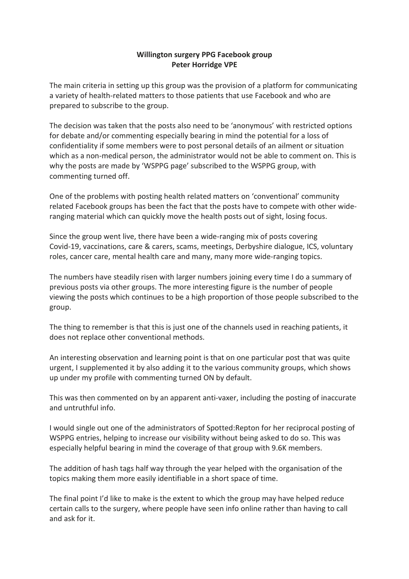## **Willington surgery PPG Facebook group Peter Horridge VPE**

The main criteria in setting up this group was the provision of a platform for communicating a variety of health-related matters to those patients that use Facebook and who are prepared to subscribe to the group.

The decision was taken that the posts also need to be 'anonymous' with restricted options for debate and/or commenting especially bearing in mind the potential for a loss of confidentiality if some members were to post personal details of an ailment or situation which as a non-medical person, the administrator would not be able to comment on. This is why the posts are made by 'WSPPG page' subscribed to the WSPPG group, with commenting turned off.

One of the problems with posting health related matters on 'conventional' community related Facebook groups has been the fact that the posts have to compete with other wideranging material which can quickly move the health posts out of sight, losing focus.

Since the group went live, there have been a wide-ranging mix of posts covering Covid-19, vaccinations, care & carers, scams, meetings, Derbyshire dialogue, ICS, voluntary roles, cancer care, mental health care and many, many more wide-ranging topics.

The numbers have steadily risen with larger numbers joining every time I do a summary of previous posts via other groups. The more interesting figure is the number of people viewing the posts which continues to be a high proportion of those people subscribed to the group.

The thing to remember is that this is just one of the channels used in reaching patients, it does not replace other conventional methods.

An interesting observation and learning point is that on one particular post that was quite urgent, I supplemented it by also adding it to the various community groups, which shows up under my profile with commenting turned ON by default.

This was then commented on by an apparent anti-vaxer, including the posting of inaccurate and untruthful info.

I would single out one of the administrators of Spotted:Repton for her reciprocal posting of WSPPG entries, helping to increase our visibility without being asked to do so. This was especially helpful bearing in mind the coverage of that group with 9.6K members.

The addition of hash tags half way through the year helped with the organisation of the topics making them more easily identifiable in a short space of time.

The final point I'd like to make is the extent to which the group may have helped reduce certain calls to the surgery, where people have seen info online rather than having to call and ask for it.